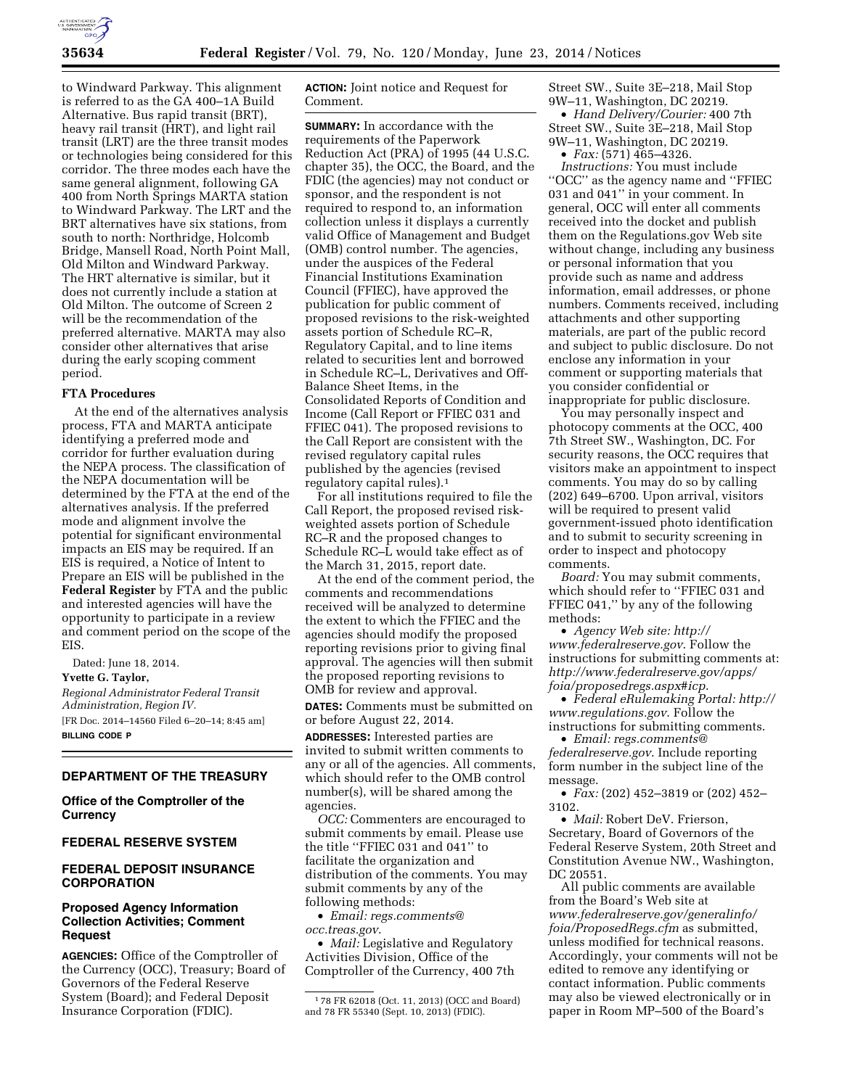

to Windward Parkway. This alignment is referred to as the GA 400–1A Build Alternative. Bus rapid transit (BRT), heavy rail transit (HRT), and light rail transit (LRT) are the three transit modes or technologies being considered for this corridor. The three modes each have the same general alignment, following GA 400 from North Springs MARTA station to Windward Parkway. The LRT and the BRT alternatives have six stations, from south to north: Northridge, Holcomb Bridge, Mansell Road, North Point Mall, Old Milton and Windward Parkway. The HRT alternative is similar, but it does not currently include a station at Old Milton. The outcome of Screen 2 will be the recommendation of the preferred alternative. MARTA may also consider other alternatives that arise during the early scoping comment period.

#### **FTA Procedures**

At the end of the alternatives analysis process, FTA and MARTA anticipate identifying a preferred mode and corridor for further evaluation during the NEPA process. The classification of the NEPA documentation will be determined by the FTA at the end of the alternatives analysis. If the preferred mode and alignment involve the potential for significant environmental impacts an EIS may be required. If an EIS is required, a Notice of Intent to Prepare an EIS will be published in the **Federal Register** by FTA and the public and interested agencies will have the opportunity to participate in a review and comment period on the scope of the EIS.

Dated: June 18, 2014.

**Yvette G. Taylor,** 

*Regional Administrator Federal Transit Administration, Region IV.* 

[FR Doc. 2014–14560 Filed 6–20–14; 8:45 am] **BILLING CODE P** 

## **DEPARTMENT OF THE TREASURY**

**Office of the Comptroller of the Currency** 

#### **FEDERAL RESERVE SYSTEM**

## **FEDERAL DEPOSIT INSURANCE CORPORATION**

# **Proposed Agency Information Collection Activities; Comment Request**

**AGENCIES:** Office of the Comptroller of the Currency (OCC), Treasury; Board of Governors of the Federal Reserve System (Board); and Federal Deposit Insurance Corporation (FDIC).

**ACTION:** Joint notice and Request for Comment.

**SUMMARY:** In accordance with the requirements of the Paperwork Reduction Act (PRA) of 1995 (44 U.S.C. chapter 35), the OCC, the Board, and the FDIC (the agencies) may not conduct or sponsor, and the respondent is not required to respond to, an information collection unless it displays a currently valid Office of Management and Budget (OMB) control number. The agencies, under the auspices of the Federal Financial Institutions Examination Council (FFIEC), have approved the publication for public comment of proposed revisions to the risk-weighted assets portion of Schedule RC–R, Regulatory Capital, and to line items related to securities lent and borrowed in Schedule RC–L, Derivatives and Off-Balance Sheet Items, in the Consolidated Reports of Condition and Income (Call Report or FFIEC 031 and FFIEC 041). The proposed revisions to the Call Report are consistent with the revised regulatory capital rules published by the agencies (revised regulatory capital rules).1

For all institutions required to file the Call Report, the proposed revised riskweighted assets portion of Schedule RC–R and the proposed changes to Schedule RC–L would take effect as of the March 31, 2015, report date.

At the end of the comment period, the comments and recommendations received will be analyzed to determine the extent to which the FFIEC and the agencies should modify the proposed reporting revisions prior to giving final approval. The agencies will then submit the proposed reporting revisions to OMB for review and approval.

**DATES:** Comments must be submitted on or before August 22, 2014.

**ADDRESSES:** Interested parties are invited to submit written comments to any or all of the agencies. All comments, which should refer to the OMB control number(s), will be shared among the agencies.

*OCC:* Commenters are encouraged to submit comments by email. Please use the title ''FFIEC 031 and 041'' to facilitate the organization and distribution of the comments. You may submit comments by any of the following methods:

• *Email: [regs.comments@](mailto:regs.comments@occ.treas.gov) [occ.treas.gov](mailto:regs.comments@occ.treas.gov)*.

• *Mail:* Legislative and Regulatory Activities Division, Office of the Comptroller of the Currency, 400 7th Street SW., Suite 3E–218, Mail Stop 9W–11, Washington, DC 20219.

• *Hand Delivery/Courier:* 400 7th Street SW., Suite 3E–218, Mail Stop 9W–11, Washington, DC 20219.

• *Fax:* (571) 465–4326.

*Instructions:* You must include ''OCC'' as the agency name and ''FFIEC 031 and 041'' in your comment. In general, OCC will enter all comments received into the docket and publish them on the Regulations.gov Web site without change, including any business or personal information that you provide such as name and address information, email addresses, or phone numbers. Comments received, including attachments and other supporting materials, are part of the public record and subject to public disclosure. Do not enclose any information in your comment or supporting materials that you consider confidential or inappropriate for public disclosure.

You may personally inspect and photocopy comments at the OCC, 400 7th Street SW., Washington, DC. For security reasons, the OCC requires that visitors make an appointment to inspect comments. You may do so by calling (202) 649–6700. Upon arrival, visitors will be required to present valid government-issued photo identification and to submit to security screening in order to inspect and photocopy comments.

*Board:* You may submit comments, which should refer to ''FFIEC 031 and FFIEC 041,'' by any of the following methods:

• *Agency Web site: [http://](http://www.federalreserve.gov) [www.federalreserve.gov](http://www.federalreserve.gov)*. Follow the instructions for submitting comments at: *[http://www.federalreserve.gov/apps/](http://www.federalreserve.gov/apps/foia/proposedregs.aspx#icp) [foia/proposedregs.aspx#icp](http://www.federalreserve.gov/apps/foia/proposedregs.aspx#icp)*.

• *Federal eRulemaking Portal: [http://](http://www.regulations.gov)  [www.regulations.gov](http://www.regulations.gov)*. Follow the instructions for submitting comments.

• *Email: [regs.comments@](mailto:regs.comments@federalreserve.gov) [federalreserve.gov](mailto:regs.comments@federalreserve.gov)*. Include reporting form number in the subject line of the message.

• *Fax:* (202) 452–3819 or (202) 452– 3102.

• *Mail:* Robert DeV. Frierson, Secretary, Board of Governors of the Federal Reserve System, 20th Street and Constitution Avenue NW., Washington, DC 20551.

All public comments are available from the Board's Web site at *[www.federalreserve.gov/generalinfo/](http://www.federalreserve.gov/generalinfo/foia/ProposedRegs.cfm) [foia/ProposedRegs.cfm](http://www.federalreserve.gov/generalinfo/foia/ProposedRegs.cfm)* as submitted, unless modified for technical reasons. Accordingly, your comments will not be edited to remove any identifying or contact information. Public comments may also be viewed electronically or in paper in Room MP–500 of the Board's

<sup>1</sup> 78 FR 62018 (Oct. 11, 2013) (OCC and Board) and 78 FR 55340 (Sept. 10, 2013) (FDIC).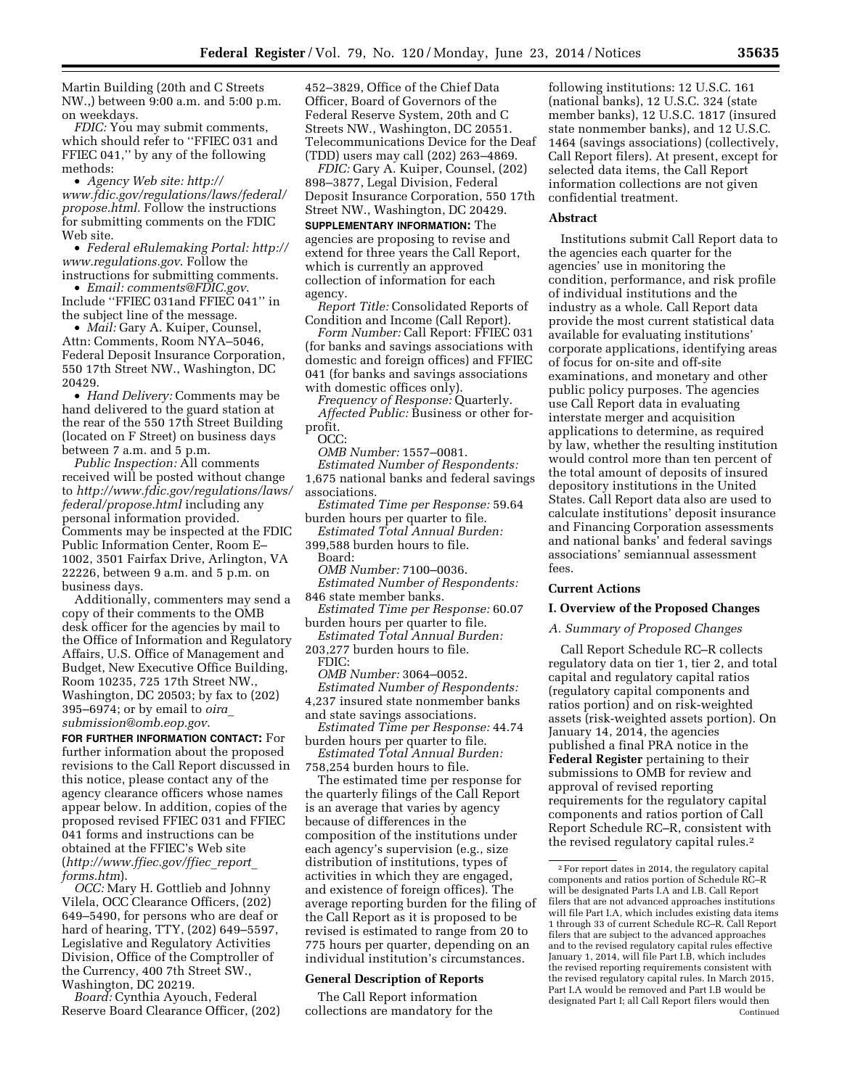Martin Building (20th and C Streets NW.,) between 9:00 a.m. and 5:00 p.m. on weekdays.

*FDIC:* You may submit comments, which should refer to ''FFIEC 031 and FFIEC 041,'' by any of the following methods:

• *Agency Web site: [http://](http://www.fdic.gov/regulations/laws/federal/propose.html) [www.fdic.gov/regulations/laws/federal/](http://www.fdic.gov/regulations/laws/federal/propose.html) [propose.html](http://www.fdic.gov/regulations/laws/federal/propose.html)*. Follow the instructions for submitting comments on the FDIC Web site.

• *Federal eRulemaking Portal: [http://](http://www.regulations.gov)  [www.regulations.gov](http://www.regulations.gov)*. Follow the instructions for submitting comments.

• *Email: [comments@FDIC.gov](mailto:comments@FDIC.gov)*. Include ''FFIEC 031and FFIEC 041'' in the subject line of the message.

• *Mail:* Gary A. Kuiper, Counsel, Attn: Comments, Room NYA–5046, Federal Deposit Insurance Corporation, 550 17th Street NW., Washington, DC 20429.

• *Hand Delivery:* Comments may be hand delivered to the guard station at the rear of the 550 17th Street Building (located on F Street) on business days between 7 a.m. and 5 p.m.

*Public Inspection:* All comments received will be posted without change to *[http://www.fdic.gov/regulations/laws/](http://www.fdic.gov/regulations/laws/federal/propose.html)  [federal/propose.html](http://www.fdic.gov/regulations/laws/federal/propose.html)* including any personal information provided. Comments may be inspected at the FDIC Public Information Center, Room E– 1002, 3501 Fairfax Drive, Arlington, VA 22226, between 9 a.m. and 5 p.m. on business days.

Additionally, commenters may send a copy of their comments to the OMB desk officer for the agencies by mail to the Office of Information and Regulatory Affairs, U.S. Office of Management and Budget, New Executive Office Building, Room 10235, 725 17th Street NW., Washington, DC 20503; by fax to (202) 395–6974; or by email to *[oira](mailto:oira_submission@omb.eop.gov)*\_ *[submission@omb.eop.gov](mailto:oira_submission@omb.eop.gov)*.

**FOR FURTHER INFORMATION CONTACT:** For further information about the proposed revisions to the Call Report discussed in this notice, please contact any of the agency clearance officers whose names appear below. In addition, copies of the proposed revised FFIEC 031 and FFIEC 041 forms and instructions can be obtained at the FFIEC's Web site (*[http://www.ffiec.gov/ffiec](http://www.ffiec.gov/ffiec_report_forms.htm)*\_*report*\_ *[forms.htm](http://www.ffiec.gov/ffiec_report_forms.htm)*).

*OCC:* Mary H. Gottlieb and Johnny Vilela, OCC Clearance Officers, (202) 649–5490, for persons who are deaf or hard of hearing, TTY, (202) 649–5597, Legislative and Regulatory Activities Division, Office of the Comptroller of the Currency, 400 7th Street SW., Washington, DC 20219.

*Board:* Cynthia Ayouch, Federal Reserve Board Clearance Officer, (202) 452–3829, Office of the Chief Data Officer, Board of Governors of the Federal Reserve System, 20th and C Streets NW., Washington, DC 20551. Telecommunications Device for the Deaf (TDD) users may call (202) 263–4869.

*FDIC:* Gary A. Kuiper, Counsel, (202) 898–3877, Legal Division, Federal Deposit Insurance Corporation, 550 17th Street NW., Washington, DC 20429.

**SUPPLEMENTARY INFORMATION:** The agencies are proposing to revise and extend for three years the Call Report, which is currently an approved collection of information for each agency.

*Report Title:* Consolidated Reports of Condition and Income (Call Report).

*Form Number:* Call Report: FFIEC 031 (for banks and savings associations with domestic and foreign offices) and FFIEC 041 (for banks and savings associations with domestic offices only).

*Frequency of Response:* Quarterly. *Affected Public:* Business or other forprofit.

OCC:

*OMB Number:* 1557–0081.

*Estimated Number of Respondents:*  1,675 national banks and federal savings associations.

*Estimated Time per Response:* 59.64 burden hours per quarter to file.

*Estimated Total Annual Burden:*  399,588 burden hours to file.

Board:

*OMB Number:* 7100–0036. *Estimated Number of Respondents:* 

846 state member banks. *Estimated Time per Response:* 60.07

burden hours per quarter to file. *Estimated Total Annual Burden:* 

203,277 burden hours to file. FDIC:

*OMB Number:* 3064–0052.

*Estimated Number of Respondents:*  4,237 insured state nonmember banks and state savings associations.

*Estimated Time per Response:* 44.74 burden hours per quarter to file.

*Estimated Total Annual Burden:*  758,254 burden hours to file.

The estimated time per response for the quarterly filings of the Call Report is an average that varies by agency because of differences in the composition of the institutions under each agency's supervision (e.g., size distribution of institutions, types of activities in which they are engaged, and existence of foreign offices). The average reporting burden for the filing of the Call Report as it is proposed to be revised is estimated to range from 20 to 775 hours per quarter, depending on an individual institution's circumstances.

## **General Description of Reports**

The Call Report information collections are mandatory for the

following institutions: 12 U.S.C. 161 (national banks), 12 U.S.C. 324 (state member banks), 12 U.S.C. 1817 (insured state nonmember banks), and 12 U.S.C. 1464 (savings associations) (collectively, Call Report filers). At present, except for selected data items, the Call Report information collections are not given confidential treatment.

#### **Abstract**

Institutions submit Call Report data to the agencies each quarter for the agencies' use in monitoring the condition, performance, and risk profile of individual institutions and the industry as a whole. Call Report data provide the most current statistical data available for evaluating institutions' corporate applications, identifying areas of focus for on-site and off-site examinations, and monetary and other public policy purposes. The agencies use Call Report data in evaluating interstate merger and acquisition applications to determine, as required by law, whether the resulting institution would control more than ten percent of the total amount of deposits of insured depository institutions in the United States. Call Report data also are used to calculate institutions' deposit insurance and Financing Corporation assessments and national banks' and federal savings associations' semiannual assessment fees.

## **Current Actions**

#### **I. Overview of the Proposed Changes**

#### *A. Summary of Proposed Changes*

Call Report Schedule RC–R collects regulatory data on tier 1, tier 2, and total capital and regulatory capital ratios (regulatory capital components and ratios portion) and on risk-weighted assets (risk-weighted assets portion). On January 14, 2014, the agencies published a final PRA notice in the **Federal Register** pertaining to their submissions to OMB for review and approval of revised reporting requirements for the regulatory capital components and ratios portion of Call Report Schedule RC–R, consistent with the revised regulatory capital rules.2

 $^{\rm 2}$  For report dates in 2014, the regulatory capital components and ratios portion of Schedule RC–R will be designated Parts I.A and I.B. Call Report filers that are not advanced approaches institutions will file Part I.A, which includes existing data items 1 through 33 of current Schedule RC–R. Call Report filers that are subject to the advanced approaches and to the revised regulatory capital rules effective January 1, 2014, will file Part I.B, which includes the revised reporting requirements consistent with the revised regulatory capital rules. In March 2015, Part I.A would be removed and Part I.B would be designated Part I; all Call Report filers would then Continued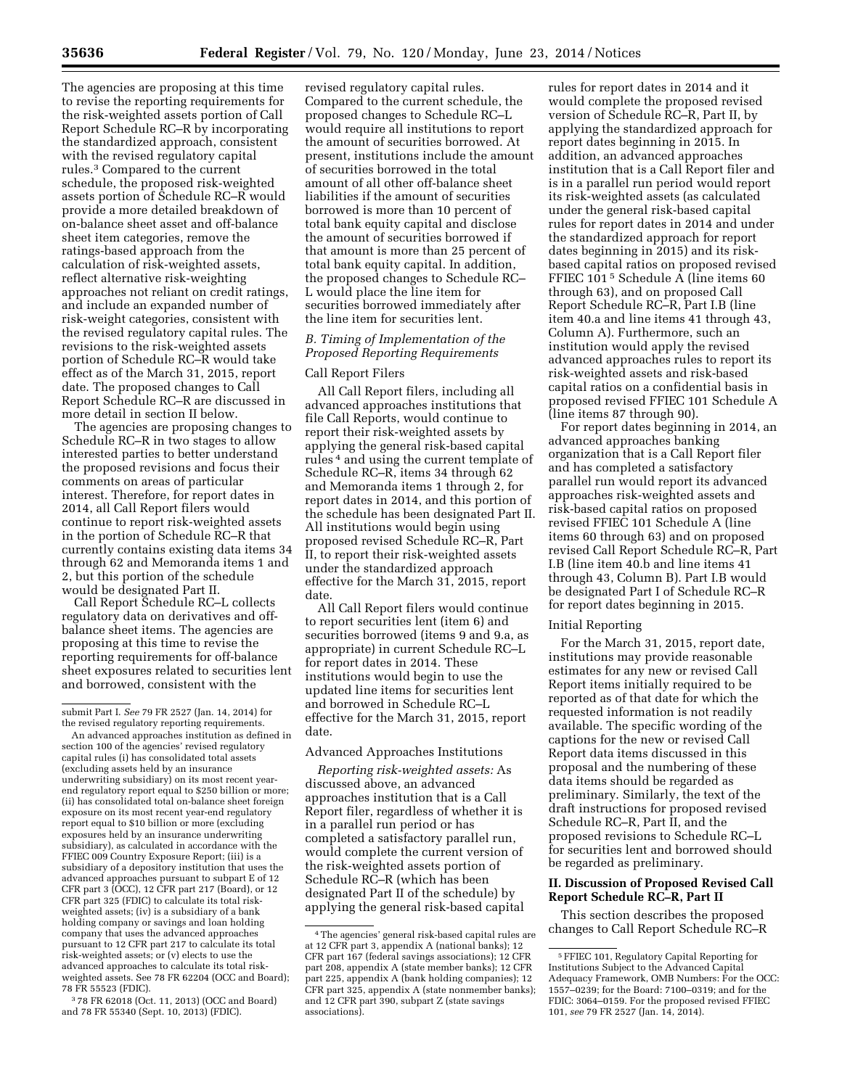The agencies are proposing at this time to revise the reporting requirements for the risk-weighted assets portion of Call Report Schedule RC–R by incorporating the standardized approach, consistent with the revised regulatory capital rules.3 Compared to the current schedule, the proposed risk-weighted assets portion of Schedule RC–R would provide a more detailed breakdown of on-balance sheet asset and off-balance sheet item categories, remove the ratings-based approach from the calculation of risk-weighted assets, reflect alternative risk-weighting approaches not reliant on credit ratings, and include an expanded number of risk-weight categories, consistent with the revised regulatory capital rules. The revisions to the risk-weighted assets portion of Schedule RC–R would take effect as of the March 31, 2015, report date. The proposed changes to Call Report Schedule RC–R are discussed in more detail in section II below.

The agencies are proposing changes to Schedule RC–R in two stages to allow interested parties to better understand the proposed revisions and focus their comments on areas of particular interest. Therefore, for report dates in 2014, all Call Report filers would continue to report risk-weighted assets in the portion of Schedule RC–R that currently contains existing data items 34 through 62 and Memoranda items 1 and 2, but this portion of the schedule would be designated Part II.

Call Report Schedule RC–L collects regulatory data on derivatives and offbalance sheet items. The agencies are proposing at this time to revise the reporting requirements for off-balance sheet exposures related to securities lent and borrowed, consistent with the

3 78 FR 62018 (Oct. 11, 2013) (OCC and Board) and 78 FR 55340 (Sept. 10, 2013) (FDIC).

revised regulatory capital rules. Compared to the current schedule, the proposed changes to Schedule RC–L would require all institutions to report the amount of securities borrowed. At present, institutions include the amount of securities borrowed in the total amount of all other off-balance sheet liabilities if the amount of securities borrowed is more than 10 percent of total bank equity capital and disclose the amount of securities borrowed if that amount is more than 25 percent of total bank equity capital. In addition, the proposed changes to Schedule RC– L would place the line item for securities borrowed immediately after the line item for securities lent.

# *B. Timing of Implementation of the Proposed Reporting Requirements*

# Call Report Filers

All Call Report filers, including all advanced approaches institutions that file Call Reports, would continue to report their risk-weighted assets by applying the general risk-based capital rules 4 and using the current template of Schedule RC–R, items 34 through 62 and Memoranda items 1 through 2, for report dates in 2014, and this portion of the schedule has been designated Part II. All institutions would begin using proposed revised Schedule RC–R, Part II, to report their risk-weighted assets under the standardized approach effective for the March 31, 2015, report date.

All Call Report filers would continue to report securities lent (item 6) and securities borrowed (items 9 and 9.a, as appropriate) in current Schedule RC–L for report dates in 2014. These institutions would begin to use the updated line items for securities lent and borrowed in Schedule RC–L effective for the March 31, 2015, report date.

#### Advanced Approaches Institutions

*Reporting risk-weighted assets:* As discussed above, an advanced approaches institution that is a Call Report filer, regardless of whether it is in a parallel run period or has completed a satisfactory parallel run, would complete the current version of the risk-weighted assets portion of Schedule RC–R (which has been designated Part II of the schedule) by applying the general risk-based capital rules for report dates in 2014 and it would complete the proposed revised version of Schedule RC–R, Part II, by applying the standardized approach for report dates beginning in 2015. In addition, an advanced approaches institution that is a Call Report filer and is in a parallel run period would report its risk-weighted assets (as calculated under the general risk-based capital rules for report dates in 2014 and under the standardized approach for report dates beginning in 2015) and its riskbased capital ratios on proposed revised FFIEC 101 5 Schedule A (line items 60 through 63), and on proposed Call Report Schedule RC–R, Part I.B (line item 40.a and line items 41 through 43, Column A). Furthermore, such an institution would apply the revised advanced approaches rules to report its risk-weighted assets and risk-based capital ratios on a confidential basis in proposed revised FFIEC 101 Schedule A (line items 87 through 90).

For report dates beginning in 2014, an advanced approaches banking organization that is a Call Report filer and has completed a satisfactory parallel run would report its advanced approaches risk-weighted assets and risk-based capital ratios on proposed revised FFIEC 101 Schedule A (line items 60 through 63) and on proposed revised Call Report Schedule RC–R, Part I.B (line item 40.b and line items 41 through 43, Column B). Part I.B would be designated Part I of Schedule RC–R for report dates beginning in 2015.

#### Initial Reporting

For the March 31, 2015, report date, institutions may provide reasonable estimates for any new or revised Call Report items initially required to be reported as of that date for which the requested information is not readily available. The specific wording of the captions for the new or revised Call Report data items discussed in this proposal and the numbering of these data items should be regarded as preliminary. Similarly, the text of the draft instructions for proposed revised Schedule RC–R, Part II, and the proposed revisions to Schedule RC–L for securities lent and borrowed should be regarded as preliminary.

## **II. Discussion of Proposed Revised Call Report Schedule RC–R, Part II**

This section describes the proposed changes to Call Report Schedule RC–R

submit Part I. *See* 79 FR 2527 (Jan. 14, 2014) for the revised regulatory reporting requirements.

An advanced approaches institution as defined in section 100 of the agencies' revised regulatory capital rules (i) has consolidated total assets (excluding assets held by an insurance underwriting subsidiary) on its most recent yearend regulatory report equal to \$250 billion or more; (ii) has consolidated total on-balance sheet foreign exposure on its most recent year-end regulatory report equal to \$10 billion or more (excluding exposures held by an insurance underwriting subsidiary), as calculated in accordance with the FFIEC 009 Country Exposure Report; (iii) is a subsidiary of a depository institution that uses the advanced approaches pursuant to subpart E of 12 CFR part 3 (OCC), 12 CFR part 217 (Board), or 12 CFR part 325 (FDIC) to calculate its total riskweighted assets; (iv) is a subsidiary of a bank holding company or savings and loan holding company that uses the advanced approaches pursuant to 12 CFR part 217 to calculate its total risk-weighted assets; or (v) elects to use the advanced approaches to calculate its total riskweighted assets. See 78 FR 62204 (OCC and Board); 78 FR 55523 (FDIC).

<sup>4</sup>The agencies' general risk-based capital rules are at 12 CFR part 3, appendix A (national banks); 12 CFR part 167 (federal savings associations); 12 CFR part 208, appendix A (state member banks); 12 CFR part 225, appendix A (bank holding companies); 12 CFR part 325, appendix A (state nonmember banks); and 12 CFR part 390, subpart Z (state savings associations).

<sup>5</sup>FFIEC 101, Regulatory Capital Reporting for Institutions Subject to the Advanced Capital Adequacy Framework, OMB Numbers: For the OCC: 1557–0239; for the Board: 7100–0319; and for the FDIC: 3064–0159. For the proposed revised FFIEC 101, *see* 79 FR 2527 (Jan. 14, 2014).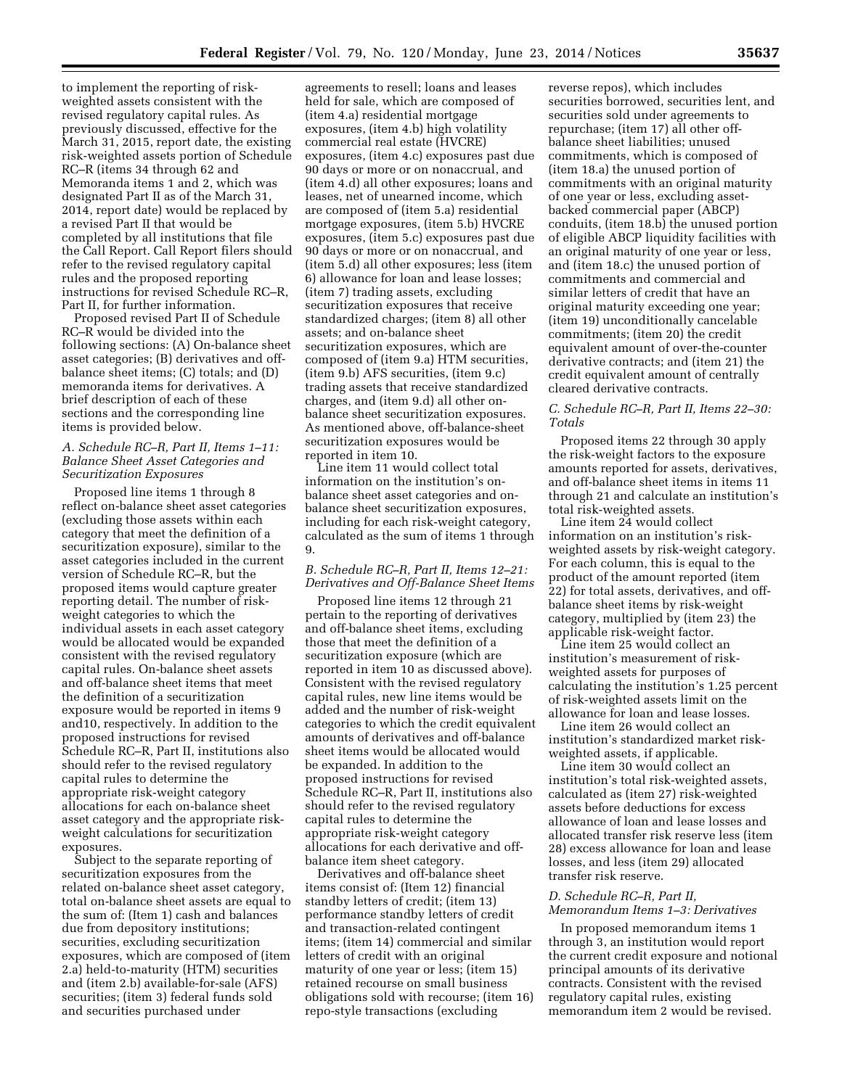to implement the reporting of riskweighted assets consistent with the revised regulatory capital rules. As previously discussed, effective for the March 31, 2015, report date, the existing risk-weighted assets portion of Schedule RC–R (items 34 through 62 and Memoranda items 1 and 2, which was designated Part II as of the March 31, 2014, report date) would be replaced by a revised Part II that would be completed by all institutions that file the Call Report. Call Report filers should refer to the revised regulatory capital rules and the proposed reporting instructions for revised Schedule RC–R, Part II, for further information.

Proposed revised Part II of Schedule RC–R would be divided into the following sections: (A) On-balance sheet asset categories; (B) derivatives and offbalance sheet items; (C) totals; and (D) memoranda items for derivatives. A brief description of each of these sections and the corresponding line items is provided below.

#### *A. Schedule RC–R, Part II, Items 1–11: Balance Sheet Asset Categories and Securitization Exposures*

Proposed line items 1 through 8 reflect on-balance sheet asset categories (excluding those assets within each category that meet the definition of a securitization exposure), similar to the asset categories included in the current version of Schedule RC–R, but the proposed items would capture greater reporting detail. The number of riskweight categories to which the individual assets in each asset category would be allocated would be expanded consistent with the revised regulatory capital rules. On-balance sheet assets and off-balance sheet items that meet the definition of a securitization exposure would be reported in items 9 and10, respectively. In addition to the proposed instructions for revised Schedule RC–R, Part II, institutions also should refer to the revised regulatory capital rules to determine the appropriate risk-weight category allocations for each on-balance sheet asset category and the appropriate riskweight calculations for securitization exposures.

Subject to the separate reporting of securitization exposures from the related on-balance sheet asset category, total on-balance sheet assets are equal to the sum of: (Item 1) cash and balances due from depository institutions; securities, excluding securitization exposures, which are composed of (item 2.a) held-to-maturity (HTM) securities and (item 2.b) available-for-sale (AFS) securities; (item 3) federal funds sold and securities purchased under

agreements to resell; loans and leases held for sale, which are composed of (item 4.a) residential mortgage exposures, (item 4.b) high volatility commercial real estate (HVCRE) exposures, (item 4.c) exposures past due 90 days or more or on nonaccrual, and (item 4.d) all other exposures; loans and leases, net of unearned income, which are composed of (item 5.a) residential mortgage exposures, (item 5.b) HVCRE exposures, (item 5.c) exposures past due 90 days or more or on nonaccrual, and (item 5.d) all other exposures; less (item 6) allowance for loan and lease losses; (item 7) trading assets, excluding securitization exposures that receive standardized charges; (item 8) all other assets; and on-balance sheet securitization exposures, which are composed of (item 9.a) HTM securities, (item 9.b) AFS securities, (item 9.c) trading assets that receive standardized charges, and (item 9.d) all other onbalance sheet securitization exposures. As mentioned above, off-balance-sheet securitization exposures would be reported in item 10.

Line item 11 would collect total information on the institution's onbalance sheet asset categories and onbalance sheet securitization exposures, including for each risk-weight category, calculated as the sum of items 1 through 9.

## *B. Schedule RC–R, Part II, Items 12–21: Derivatives and Off-Balance Sheet Items*

Proposed line items 12 through 21 pertain to the reporting of derivatives and off-balance sheet items, excluding those that meet the definition of a securitization exposure (which are reported in item 10 as discussed above). Consistent with the revised regulatory capital rules, new line items would be added and the number of risk-weight categories to which the credit equivalent amounts of derivatives and off-balance sheet items would be allocated would be expanded. In addition to the proposed instructions for revised Schedule RC–R, Part II, institutions also should refer to the revised regulatory capital rules to determine the appropriate risk-weight category allocations for each derivative and offbalance item sheet category.

Derivatives and off-balance sheet items consist of: (Item 12) financial standby letters of credit; (item 13) performance standby letters of credit and transaction-related contingent items; (item 14) commercial and similar letters of credit with an original maturity of one year or less; (item 15) retained recourse on small business obligations sold with recourse; (item 16) repo-style transactions (excluding

reverse repos), which includes securities borrowed, securities lent, and securities sold under agreements to repurchase; (item 17) all other offbalance sheet liabilities; unused commitments, which is composed of (item 18.a) the unused portion of commitments with an original maturity of one year or less, excluding assetbacked commercial paper (ABCP) conduits, (item 18.b) the unused portion of eligible ABCP liquidity facilities with an original maturity of one year or less, and (item 18.c) the unused portion of commitments and commercial and similar letters of credit that have an original maturity exceeding one year; (item 19) unconditionally cancelable commitments; (item 20) the credit equivalent amount of over-the-counter derivative contracts; and (item 21) the credit equivalent amount of centrally cleared derivative contracts.

## *C. Schedule RC–R, Part II, Items 22–30: Totals*

Proposed items 22 through 30 apply the risk-weight factors to the exposure amounts reported for assets, derivatives, and off-balance sheet items in items 11 through 21 and calculate an institution's total risk-weighted assets.

Line item 24 would collect information on an institution's riskweighted assets by risk-weight category. For each column, this is equal to the product of the amount reported (item 22) for total assets, derivatives, and offbalance sheet items by risk-weight category, multiplied by (item 23) the applicable risk-weight factor.

Line item 25 would collect an institution's measurement of riskweighted assets for purposes of calculating the institution's 1.25 percent of risk-weighted assets limit on the allowance for loan and lease losses.

Line item 26 would collect an institution's standardized market riskweighted assets, if applicable.

Line item 30 would collect an institution's total risk-weighted assets, calculated as (item 27) risk-weighted assets before deductions for excess allowance of loan and lease losses and allocated transfer risk reserve less (item 28) excess allowance for loan and lease losses, and less (item 29) allocated transfer risk reserve.

#### *D. Schedule RC–R, Part II,*

# *Memorandum Items 1–3: Derivatives*

In proposed memorandum items 1 through 3, an institution would report the current credit exposure and notional principal amounts of its derivative contracts. Consistent with the revised regulatory capital rules, existing memorandum item 2 would be revised.